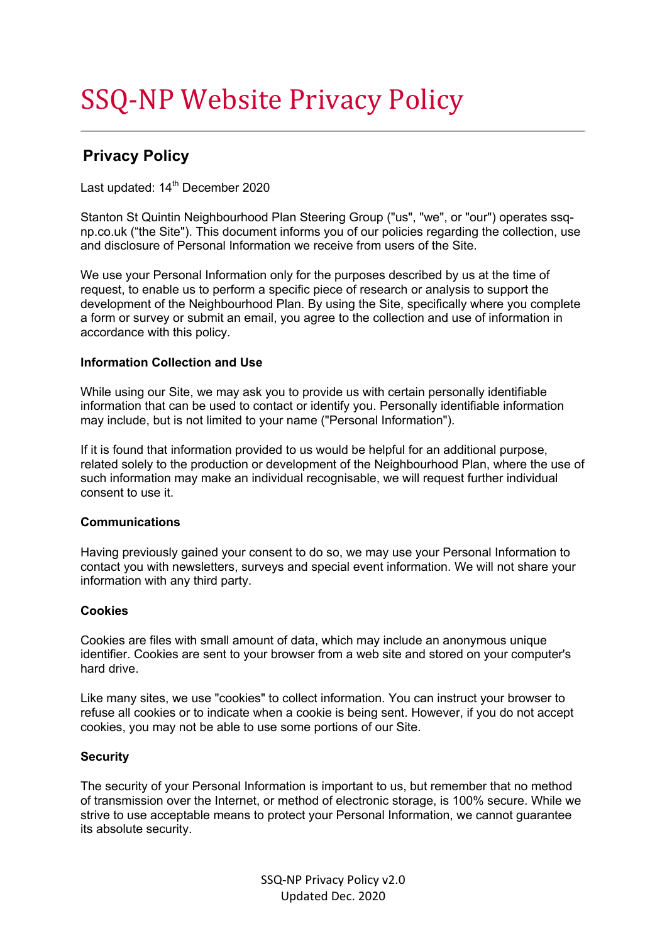# SSQ-NP Website Privacy Policy

## **Privacy Policy**

Last updated:  $14<sup>th</sup>$  December 2020

Stanton St Quintin Neighbourhood Plan Steering Group ("us", "we", or "our") operates ssqnp.co.uk ("the Site"). This document informs you of our policies regarding the collection, use and disclosure of Personal Information we receive from users of the Site.

We use your Personal Information only for the purposes described by us at the time of request, to enable us to perform a specific piece of research or analysis to support the development of the Neighbourhood Plan. By using the Site, specifically where you complete a form or survey or submit an email, you agree to the collection and use of information in accordance with this policy.

### **Information Collection and Use**

While using our Site, we may ask you to provide us with certain personally identifiable information that can be used to contact or identify you. Personally identifiable information may include, but is not limited to your name ("Personal Information").

If it is found that information provided to us would be helpful for an additional purpose, related solely to the production or development of the Neighbourhood Plan, where the use of such information may make an individual recognisable, we will request further individual consent to use it.

#### **Communications**

Having previously gained your consent to do so, we may use your Personal Information to contact you with newsletters, surveys and special event information. We will not share your information with any third party.

#### **Cookies**

Cookies are files with small amount of data, which may include an anonymous unique identifier. Cookies are sent to your browser from a web site and stored on your computer's hard drive.

Like many sites, we use "cookies" to collect information. You can instruct your browser to refuse all cookies or to indicate when a cookie is being sent. However, if you do not accept cookies, you may not be able to use some portions of our Site.

#### **Security**

The security of your Personal Information is important to us, but remember that no method of transmission over the Internet, or method of electronic storage, is 100% secure. While we strive to use acceptable means to protect your Personal Information, we cannot guarantee its absolute security.

> SSQ-NP Privacy Policy v2.0 Updated Dec. 2020